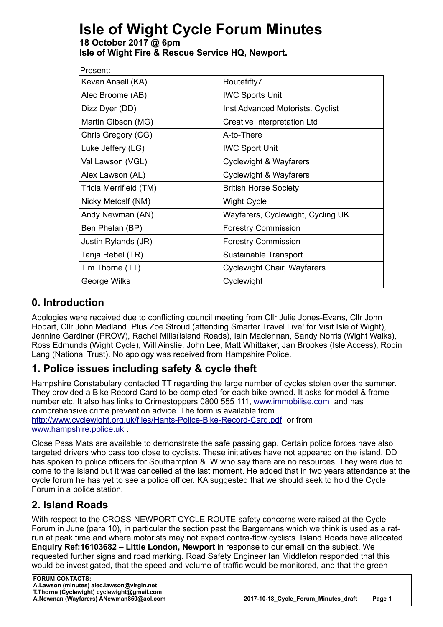# **Isle of Wight Cycle Forum Minutes**

**18 October 2017 @ 6pm Isle of Wight Fire & Rescue Service HQ, Newport.**

| Present:               |                                   |
|------------------------|-----------------------------------|
| Kevan Ansell (KA)      | Routefifty7                       |
| Alec Broome (AB)       | <b>IWC Sports Unit</b>            |
| Dizz Dyer (DD)         | Inst Advanced Motorists. Cyclist  |
| Martin Gibson (MG)     | Creative Interpretation Ltd       |
| Chris Gregory (CG)     | A-to-There                        |
| Luke Jeffery (LG)      | <b>IWC Sport Unit</b>             |
| Val Lawson (VGL)       | Cyclewight & Wayfarers            |
| Alex Lawson (AL)       | <b>Cyclewight &amp; Wayfarers</b> |
| Tricia Merrifield (TM) | <b>British Horse Society</b>      |
| Nicky Metcalf (NM)     | <b>Wight Cycle</b>                |
| Andy Newman (AN)       | Wayfarers, Cyclewight, Cycling UK |
| Ben Phelan (BP)        | <b>Forestry Commission</b>        |
| Justin Rylands (JR)    | <b>Forestry Commission</b>        |
| Tanja Rebel (TR)       | Sustainable Transport             |
| Tim Thorne (TT)        | Cyclewight Chair, Wayfarers       |
| George Wilks           | Cyclewight                        |

#### **0. Introduction**

Apologies were received due to conflicting council meeting from Cllr Julie Jones-Evans, Cllr John Hobart, Cllr John Medland. Plus Zoe Stroud (attending Smarter Travel Live! for Visit Isle of Wight), Jennine Gardiner (PROW), Rachel Mills(Island Roads), Iain Maclennan, Sandy Norris (Wight Walks), Ross Edmunds (Wight Cycle), Will Ainslie, John Lee, Matt Whittaker, Jan Brookes (Isle Access), Robin Lang (National Trust). No apology was received from Hampshire Police.

# **1. Police issues including safety & cycle theft**

Hampshire Constabulary contacted TT regarding the large number of cycles stolen over the summer. They provided a Bike Record Card to be completed for each bike owned. It asks for model & frame number etc. It also has links to Crimestoppers 0800 555 111, [www.immobilise.com](http://www.immobilise.com/) and has comprehensive crime prevention advice. The form is available from <http://www.cyclewight.org.uk/files/Hants-Police-Bike-Record-Card.pdf>or from [www.hampshire.police.uk](http://www.hampshire.police.uk/) .

Close Pass Mats are available to demonstrate the safe passing gap. Certain police forces have also targeted drivers who pass too close to cyclists. These initiatives have not appeared on the island. DD has spoken to police officers for Southampton & IW who say there are no resources. They were due to come to the Island but it was cancelled at the last moment. He added that in two years attendance at the cycle forum he has yet to see a police officer. KA suggested that we should seek to hold the Cycle Forum in a police station.

## **2. Island Roads**

With respect to the CROSS-NEWPORT CYCLE ROUTE safety concerns were raised at the Cycle Forum in June (para 10), in particular the section past the Bargemans which we think is used as a ratrun at peak time and where motorists may not expect contra-flow cyclists. Island Roads have allocated **Enquiry Ref:16103682 – Little London, Newport** in response to our email on the subject. We requested further signs and road marking. Road Safety Engineer Ian Middleton responded that this would be investigated, that the speed and volume of traffic would be monitored, and that the green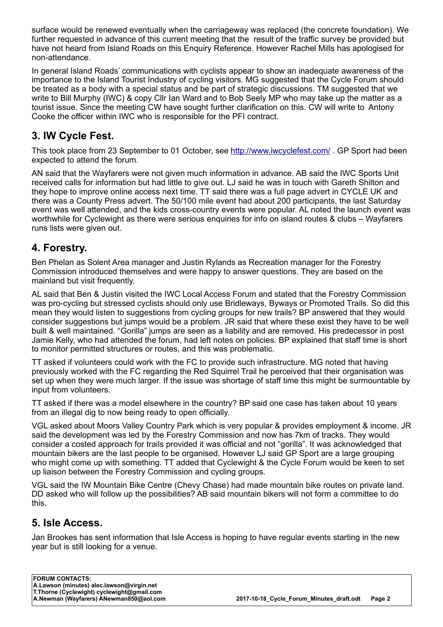surface would be renewed eventually when the carriageway was replaced (the concrete foundation). We further requested in advance of this current meeting that the result of the traffic survey be provided but have not heard from Island Roads on this Enquiry Reference. However Rachel Mills has apologised for non-attendance.

In general Island Roads' communications with cyclists appear to show an inadequate awareness of the importance to the Island Tourist Industry of cycling visitors. MG suggested that the Cycle Forum should be treated as a body with a special status and be part of strategic discussions. TM suggested that we write to Bill Murphy (IWC) & copy Cllr Ian Ward and to Bob Seely MP who may take up the matter as a tourist issue. Since the meeting CW have sought further clarification on this. CW will write to Antony Cooke the officer within IWC who is responsible for the PFI contract.

## **3. IW Cycle Fest.**

This took place from 23 September to 01 October, see<http://www.iwcyclefest.com/>. GP Sport had been expected to attend the forum.

AN said that the Wayfarers were not given much information in advance. AB said the IWC Sports Unit received calls for information but had little to give out. LJ said he was in touch with Gareth Shilton and they hope to improve online access next time. TT said there was a full page advert in CYCLE UK and there was a County Press advert. The 50/100 mile event had about 200 participants, the last Saturday event was well attended, and the kids cross-country events were popular. AL noted the launch event was worthwhile for Cyclewight as there were serious enquiries for info on island routes & clubs – Wayfarers runs lists were given out.

#### **4. Forestry.**

Ben Phelan as Solent Area manager and Justin Rylands as Recreation manager for the Forestry Commission introduced themselves and were happy to answer questions. They are based on the mainland but visit frequently.

AL said that Ben & Justin visited the IWC Local Access Forum and stated that the Forestry Commission was pro-cycling but stressed cyclists should only use Bridleways, Byways or Promoted Trails. So did this mean they would listen to suggestions from cycling groups for new trails? BP answered that they would consider suggestions but jumps would be a problem. JR said that where these exist they have to be well built & well maintained. "Gorilla" jumps are seen as a liability and are removed. His predecessor in post Jamie Kelly, who had attended the forum, had left notes on policies. BP explained that staff time is short to monitor permitted structures or routes, and this was problematic.

TT asked if volunteers could work with the FC to provide such infrastructure. MG noted that having previously worked with the FC regarding the Red Squirrel Trail he perceived that their organisation was set up when they were much larger. If the issue was shortage of staff time this might be surmountable by input from volunteers.

TT asked if there was a model elsewhere in the country? BP said one case has taken about 10 years from an illegal dig to now being ready to open officially.

VGL asked about Moors Valley Country Park which is very popular & provides employment & income. JR said the development was led by the Forestry Commission and now has 7km of tracks. They would consider a costed approach for trails provided it was official and not "gorilla". It was acknowledged that mountain bikers are the last people to be organised. However LJ said GP Sport are a large grouping who might come up with something. TT added that Cyclewight & the Cycle Forum would be keen to set up liaison between the Forestry Commission and cycling groups.

VGL said the IW Mountain Bike Centre (Chevy Chase) had made mountain bike routes on private land. DD asked who will follow up the possibilities? AB said mountain bikers will not form a committee to do this.

#### **5. Isle Access.**

Jan Brookes has sent information that Isle Access is hoping to have regular events starting in the new year but is still looking for a venue.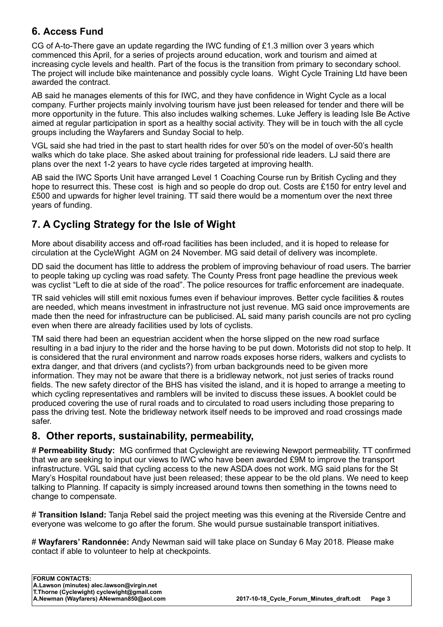#### **6. Access Fund**

CG of A-to-There gave an update regarding the IWC funding of £1.3 million over 3 years which commenced this April, for a series of projects around education, work and tourism and aimed at increasing cycle levels and health. Part of the focus is the transition from primary to secondary school. The project will include bike maintenance and possibly cycle loans. Wight Cycle Training Ltd have been awarded the contract.

AB said he manages elements of this for IWC, and they have confidence in Wight Cycle as a local company. Further projects mainly involving tourism have just been released for tender and there will be more opportunity in the future. This also includes walking schemes. Luke Jeffery is leading Isle Be Active aimed at regular participation in sport as a healthy social activity. They will be in touch with the all cycle groups including the Wayfarers and Sunday Social to help.

VGL said she had tried in the past to start health rides for over 50's on the model of over-50's health walks which do take place. She asked about training for professional ride leaders. LJ said there are plans over the next 1-2 years to have cycle rides targeted at improving health.

AB said the IWC Sports Unit have arranged Level 1 Coaching Course run by British Cycling and they hope to resurrect this. These cost is high and so people do drop out. Costs are £150 for entry level and £500 and upwards for higher level training. TT said there would be a momentum over the next three years of funding.

# **7. A Cycling Strategy for the Isle of Wight**

More about disability access and off-road facilities has been included, and it is hoped to release for circulation at the CycleWight AGM on 24 November. MG said detail of delivery was incomplete.

DD said the document has little to address the problem of improving behaviour of road users. The barrier to people taking up cycling was road safety. The County Press front page headline the previous week was cyclist "Left to die at side of the road". The police resources for traffic enforcement are inadequate.

TR said vehicles will still emit noxious fumes even if behaviour improves. Better cycle facilities & routes are needed, which means investment in infrastructure not just revenue. MG said once improvements are made then the need for infrastructure can be publicised. AL said many parish councils are not pro cycling even when there are already facilities used by lots of cyclists.

TM said there had been an equestrian accident when the horse slipped on the new road surface resulting in a bad injury to the rider and the horse having to be put down. Motorists did not stop to help. It is considered that the rural environment and narrow roads exposes horse riders, walkers and cyclists to extra danger, and that drivers (and cyclists?) from urban backgrounds need to be given more information. They may not be aware that there is a bridleway network, not just series of tracks round fields. The new safety director of the BHS has visited the island, and it is hoped to arrange a meeting to which cycling representatives and ramblers will be invited to discuss these issues. A booklet could be produced covering the use of rural roads and to circulated to road users including those preparing to pass the driving test. Note the bridleway network itself needs to be improved and road crossings made safer.

#### **8. Other reports, sustainability, permeability,**

# **Permeability Study:** MG confirmed that Cyclewight are reviewing Newport permeability. TT confirmed that we are seeking to input our views to IWC who have been awarded £9M to improve the transport infrastructure. VGL said that cycling access to the new ASDA does not work. MG said plans for the St Mary's Hospital roundabout have just been released; these appear to be the old plans. We need to keep talking to Planning. If capacity is simply increased around towns then something in the towns need to change to compensate.

# **Transition Island:** Tanja Rebel said the project meeting was this evening at the Riverside Centre and everyone was welcome to go after the forum. She would pursue sustainable transport initiatives.

# **Wayfarers' Randonnée:** Andy Newman said will take place on Sunday 6 May 2018. Please make contact if able to volunteer to help at checkpoints.